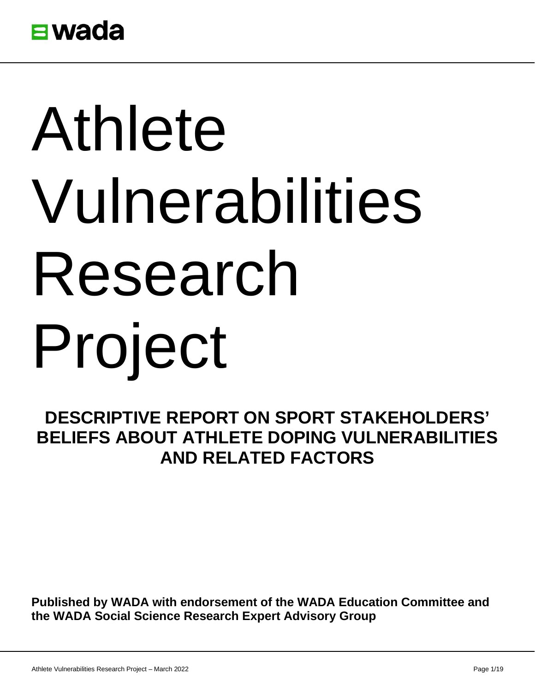

# Athlete Vulnerabilities Research Project

## **DESCRIPTIVE REPORT ON SPORT STAKEHOLDERS' BELIEFS ABOUT ATHLETE DOPING VULNERABILITIES AND RELATED FACTORS**

**Published by WADA with endorsement of the WADA Education Committee and the WADA Social Science Research Expert Advisory Group**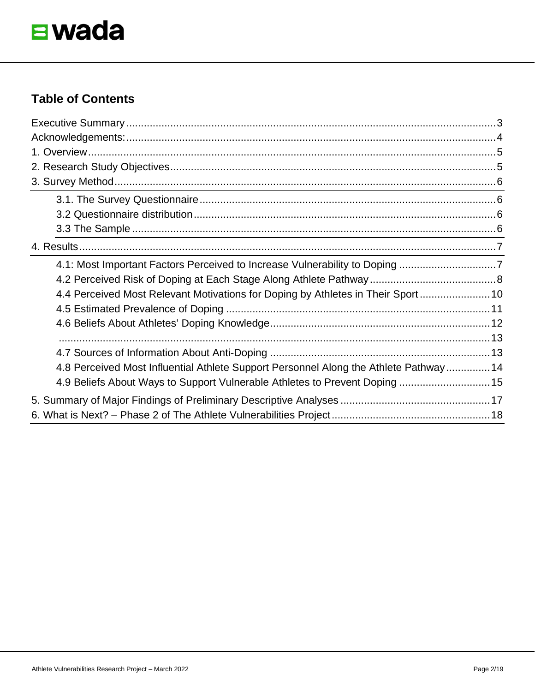

#### **Table of Contents**

| 4.1: Most Important Factors Perceived to Increase Vulnerability to Doping 7           |  |
|---------------------------------------------------------------------------------------|--|
|                                                                                       |  |
| 4.4 Perceived Most Relevant Motivations for Doping by Athletes in Their Sport 10      |  |
|                                                                                       |  |
|                                                                                       |  |
|                                                                                       |  |
|                                                                                       |  |
| 4.8 Perceived Most Influential Athlete Support Personnel Along the Athlete Pathway 14 |  |
| 4.9 Beliefs About Ways to Support Vulnerable Athletes to Prevent Doping  15           |  |
|                                                                                       |  |
|                                                                                       |  |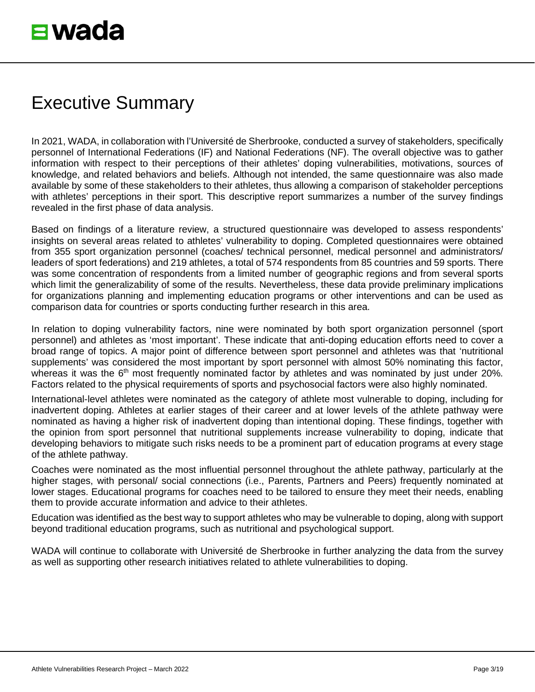# <span id="page-2-0"></span>Executive Summary

In 2021, WADA, in collaboration with l'Université de Sherbrooke, conducted a survey of stakeholders, specifically personnel of International Federations (IF) and National Federations (NF). The overall objective was to gather information with respect to their perceptions of their athletes' doping vulnerabilities, motivations, sources of knowledge, and related behaviors and beliefs. Although not intended, the same questionnaire was also made available by some of these stakeholders to their athletes, thus allowing a comparison of stakeholder perceptions with athletes' perceptions in their sport. This descriptive report summarizes a number of the survey findings revealed in the first phase of data analysis.

Based on findings of a literature review, a structured questionnaire was developed to assess respondents' insights on several areas related to athletes' vulnerability to doping. Completed questionnaires were obtained from 355 sport organization personnel (coaches/ technical personnel, medical personnel and administrators/ leaders of sport federations) and 219 athletes, a total of 574 respondents from 85 countries and 59 sports. There was some concentration of respondents from a limited number of geographic regions and from several sports which limit the generalizability of some of the results. Nevertheless, these data provide preliminary implications for organizations planning and implementing education programs or other interventions and can be used as comparison data for countries or sports conducting further research in this area.

In relation to doping vulnerability factors, nine were nominated by both sport organization personnel (sport personnel) and athletes as 'most important'. These indicate that anti-doping education efforts need to cover a broad range of topics. A major point of difference between sport personnel and athletes was that 'nutritional supplements' was considered the most important by sport personnel with almost 50% nominating this factor, whereas it was the 6<sup>th</sup> most frequently nominated factor by athletes and was nominated by just under 20%. Factors related to the physical requirements of sports and psychosocial factors were also highly nominated.

International-level athletes were nominated as the category of athlete most vulnerable to doping, including for inadvertent doping. Athletes at earlier stages of their career and at lower levels of the athlete pathway were nominated as having a higher risk of inadvertent doping than intentional doping. These findings, together with the opinion from sport personnel that nutritional supplements increase vulnerability to doping, indicate that developing behaviors to mitigate such risks needs to be a prominent part of education programs at every stage of the athlete pathway.

Coaches were nominated as the most influential personnel throughout the athlete pathway, particularly at the higher stages, with personal/ social connections (i.e., Parents, Partners and Peers) frequently nominated at lower stages. Educational programs for coaches need to be tailored to ensure they meet their needs, enabling them to provide accurate information and advice to their athletes.

Education was identified as the best way to support athletes who may be vulnerable to doping, along with support beyond traditional education programs, such as nutritional and psychological support.

WADA will continue to collaborate with Université de Sherbrooke in further analyzing the data from the survey as well as supporting other research initiatives related to athlete vulnerabilities to doping.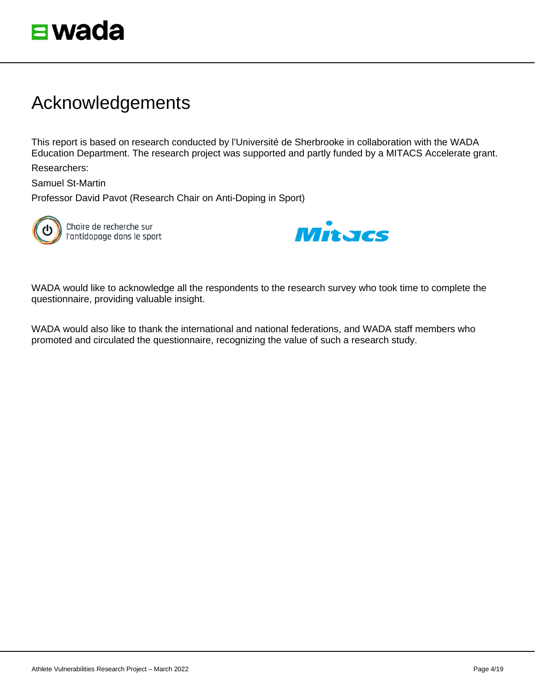

# <span id="page-3-0"></span>Acknowledgements

This report is based on research conducted by l'Université de Sherbrooke in collaboration with the WADA Education Department. The research project was supported and partly funded by a MITACS Accelerate grant.

Researchers:

Samuel St-Martin

Professor David Pavot (Research Chair on Anti-Doping in Sport)



Chaire de recherche sur l'antidopage dans le sport



WADA would like to acknowledge all the respondents to the research survey who took time to complete the questionnaire, providing valuable insight.

WADA would also like to thank the international and national federations, and WADA staff members who promoted and circulated the questionnaire, recognizing the value of such a research study.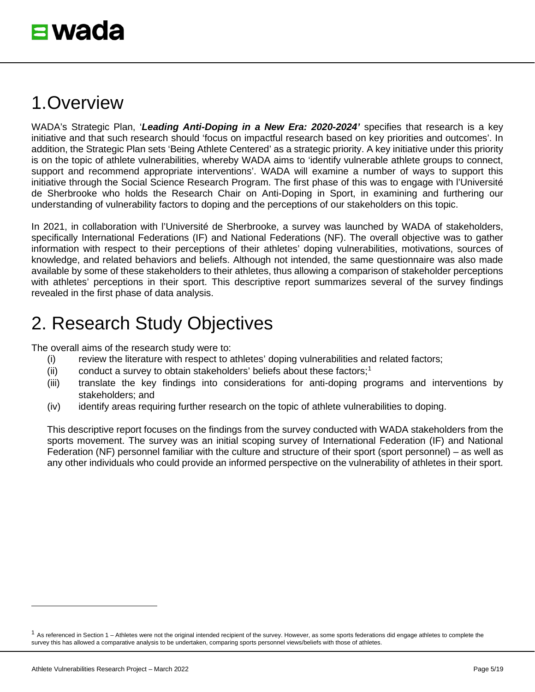# <span id="page-4-0"></span>1.Overview

WADA's Strategic Plan, '*Leading Anti-Doping in a New Era: 2020-2024'* specifies that research is a key initiative and that such research should 'focus on impactful research based on key priorities and outcomes'. In addition, the Strategic Plan sets 'Being Athlete Centered' as a strategic priority. A key initiative under this priority is on the topic of athlete vulnerabilities, whereby WADA aims to 'identify vulnerable athlete groups to connect, support and recommend appropriate interventions'. WADA will examine a number of ways to support this initiative through the Social Science Research Program. The first phase of this was to engage with l'Université de Sherbrooke who holds the Research Chair on Anti-Doping in Sport, in examining and furthering our understanding of vulnerability factors to doping and the perceptions of our stakeholders on this topic.

In 2021, in collaboration with l'Université de Sherbrooke, a survey was launched by WADA of stakeholders, specifically International Federations (IF) and National Federations (NF). The overall objective was to gather information with respect to their perceptions of their athletes' doping vulnerabilities, motivations, sources of knowledge, and related behaviors and beliefs. Although not intended, the same questionnaire was also made available by some of these stakeholders to their athletes, thus allowing a comparison of stakeholder perceptions with athletes' perceptions in their sport. This descriptive report summarizes several of the survey findings revealed in the first phase of data analysis.

# <span id="page-4-1"></span>2. Research Study Objectives

The overall aims of the research study were to:

- (i) review the literature with respect to athletes' doping vulnerabilities and related factors;
- (ii) conduct a survey to obtain stakeholders' beliefs about these factors; [1](#page-4-2)
- (iii) translate the key findings into considerations for anti-doping programs and interventions by stakeholders; and
- (iv) identify areas requiring further research on the topic of athlete vulnerabilities to doping.

This descriptive report focuses on the findings from the survey conducted with WADA stakeholders from the sports movement. The survey was an initial scoping survey of International Federation (IF) and National Federation (NF) personnel familiar with the culture and structure of their sport (sport personnel) – as well as any other individuals who could provide an informed perspective on the vulnerability of athletes in their sport.

<span id="page-4-2"></span> $1$  As referenced in Section 1 – Athletes were not the original intended recipient of the survey. However, as some sports federations did engage athletes to complete the survey this has allowed a comparative analysis to be undertaken, comparing sports personnel views/beliefs with those of athletes.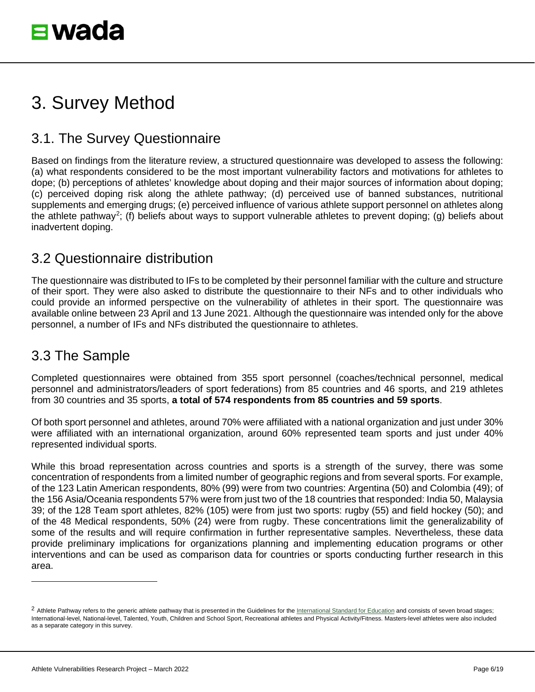# <span id="page-5-0"></span>3. Survey Method

## <span id="page-5-1"></span>3.1. The Survey Questionnaire

Based on findings from the literature review, a structured questionnaire was developed to assess the following: (a) what respondents considered to be the most important vulnerability factors and motivations for athletes to dope; (b) perceptions of athletes' knowledge about doping and their major sources of information about doping; (c) perceived doping risk along the athlete pathway; (d) perceived use of banned substances, nutritional supplements and emerging drugs; (e) perceived influence of various athlete support personnel on athletes along the athlete pathway<sup>[2](#page-5-4)</sup>; (f) beliefs about ways to support vulnerable athletes to prevent doping; (g) beliefs about inadvertent doping.

#### <span id="page-5-2"></span>3.2 Questionnaire distribution

The questionnaire was distributed to IFs to be completed by their personnel familiar with the culture and structure of their sport. They were also asked to distribute the questionnaire to their NFs and to other individuals who could provide an informed perspective on the vulnerability of athletes in their sport. The questionnaire was available online between 23 April and 13 June 2021. Although the questionnaire was intended only for the above personnel, a number of IFs and NFs distributed the questionnaire to athletes.

## <span id="page-5-3"></span>3.3 The Sample

Completed questionnaires were obtained from 355 sport personnel (coaches/technical personnel, medical personnel and administrators/leaders of sport federations) from 85 countries and 46 sports, and 219 athletes from 30 countries and 35 sports, **a total of 574 respondents from 85 countries and 59 sports**.

Of both sport personnel and athletes, around 70% were affiliated with a national organization and just under 30% were affiliated with an international organization, around 60% represented team sports and just under 40% represented individual sports.

While this broad representation across countries and sports is a strength of the survey, there was some concentration of respondents from a limited number of geographic regions and from several sports. For example, of the 123 Latin American respondents, 80% (99) were from two countries: Argentina (50) and Colombia (49); of the 156 Asia/Oceania respondents 57% were from just two of the 18 countries that responded: India 50, Malaysia 39; of the 128 Team sport athletes, 82% (105) were from just two sports: rugby (55) and field hockey (50); and of the 48 Medical respondents, 50% (24) were from rugby. These concentrations limit the generalizability of some of the results and will require confirmation in further representative samples. Nevertheless, these data provide preliminary implications for organizations planning and implementing education programs or other interventions and can be used as comparison data for countries or sports conducting further research in this area.

<span id="page-5-4"></span><sup>&</sup>lt;sup>2</sup> Athlete Pathway refers to the generic athlete pathway that is presented in the Guidelines for th[e International Standard for Education](https://www.wada-ama.org/en/resources/education-and-prevention/guidelines-for-the-2021-international-standard-for-education-ise) and consists of seven broad stages; International-level, National-level, Talented, Youth, Children and School Sport, Recreational athletes and Physical Activity/Fitness. Masters-level athletes were also included as a separate category in this survey.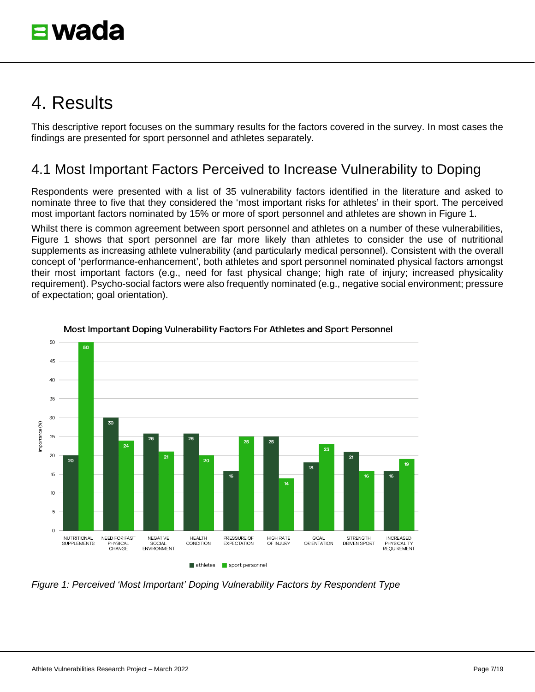# <span id="page-6-0"></span>4. Results

This descriptive report focuses on the summary results for the factors covered in the survey. In most cases the findings are presented for sport personnel and athletes separately.

## <span id="page-6-1"></span>4.1 Most Important Factors Perceived to Increase Vulnerability to Doping

Respondents were presented with a list of 35 vulnerability factors identified in the literature and asked to nominate three to five that they considered the 'most important risks for athletes' in their sport. The perceived most important factors nominated by 15% or more of sport personnel and athletes are shown in Figure 1.

Whilst there is common agreement between sport personnel and athletes on a number of these vulnerabilities, Figure 1 shows that sport personnel are far more likely than athletes to consider the use of nutritional supplements as increasing athlete vulnerability (and particularly medical personnel). Consistent with the overall concept of 'performance-enhancement', both athletes and sport personnel nominated physical factors amongst their most important factors (e.g., need for fast physical change; high rate of injury; increased physicality requirement). Psycho-social factors were also frequently nominated (e.g., negative social environment; pressure of expectation; goal orientation).



Most Important Doping Vulnerability Factors For Athletes and Sport Personnel

*Figure 1: Perceived 'Most Important' Doping Vulnerability Factors by Respondent Type*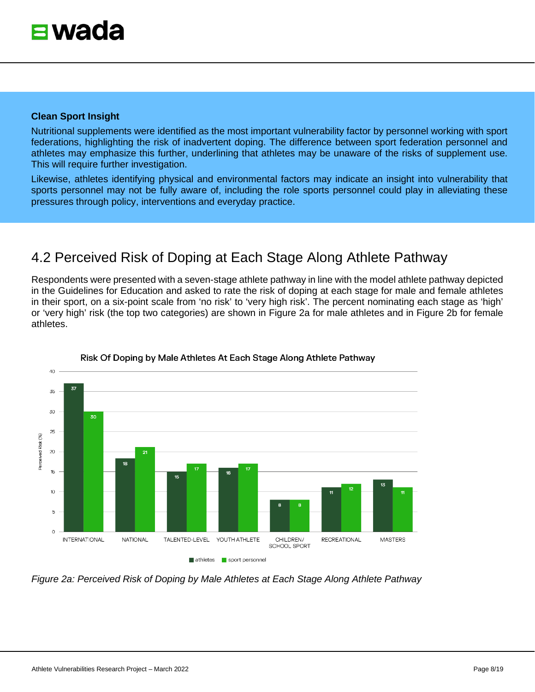Nutritional supplements were identified as the most important vulnerability factor by personnel working with sport federations, highlighting the risk of inadvertent doping. The difference between sport federation personnel and athletes may emphasize this further, underlining that athletes may be unaware of the risks of supplement use. This will require further investigation.

Likewise, athletes identifying physical and environmental factors may indicate an insight into vulnerability that sports personnel may not be fully aware of, including the role sports personnel could play in alleviating these pressures through policy, interventions and everyday practice.

## <span id="page-7-0"></span>4.2 Perceived Risk of Doping at Each Stage Along Athlete Pathway

Respondents were presented with a seven-stage athlete pathway in line with the model athlete pathway depicted in the Guidelines for Education and asked to rate the risk of doping at each stage for male and female athletes in their sport, on a six-point scale from 'no risk' to 'very high risk'. The percent nominating each stage as 'high' or 'very high' risk (the top two categories) are shown in Figure 2a for male athletes and in Figure 2b for female athletes.



Risk Of Doping by Male Athletes At Each Stage Along Athlete Pathway

*Figure 2a: Perceived Risk of Doping by Male Athletes at Each Stage Along Athlete Pathway*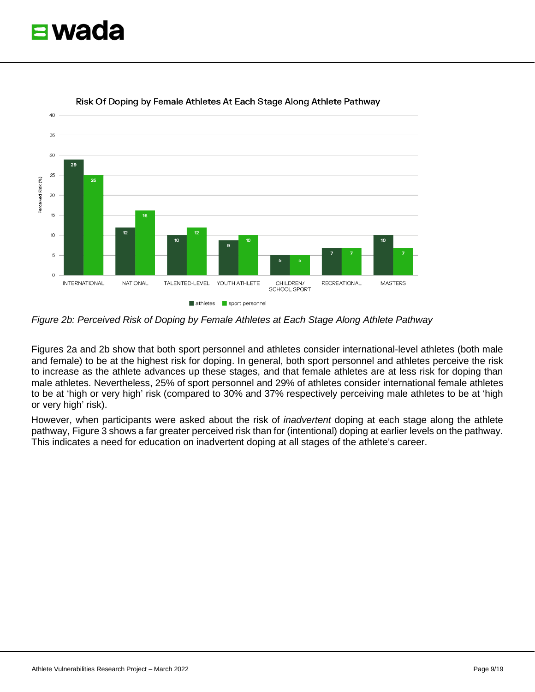



Risk Of Doping by Female Athletes At Each Stage Along Athlete Pathway

*Figure 2b: Perceived Risk of Doping by Female Athletes at Each Stage Along Athlete Pathway* 

Figures 2a and 2b show that both sport personnel and athletes consider international-level athletes (both male and female) to be at the highest risk for doping. In general, both sport personnel and athletes perceive the risk to increase as the athlete advances up these stages, and that female athletes are at less risk for doping than male athletes. Nevertheless, 25% of sport personnel and 29% of athletes consider international female athletes to be at 'high or very high' risk (compared to 30% and 37% respectively perceiving male athletes to be at 'high or very high' risk).

However, when participants were asked about the risk of *inadvertent* doping at each stage along the athlete pathway, Figure 3 shows a far greater perceived risk than for (intentional) doping at earlier levels on the pathway. This indicates a need for education on inadvertent doping at all stages of the athlete's career.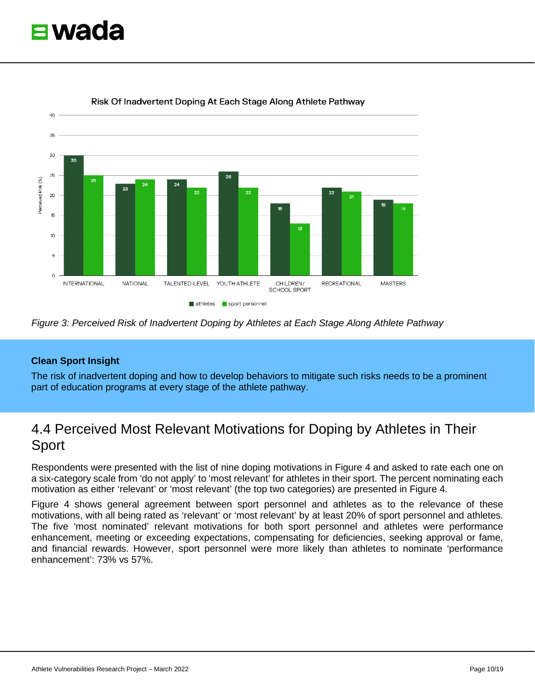



#### Risk Of Inadvertent Doping At Each Stage Along Athlete Pathway

#### **Clean Sport Insight**

The risk of inadvertent doping and how to develop behaviors to mitigate such risks needs to be a prominent part of education programs at every stage of the athlete pathway.

## <span id="page-9-0"></span>4.4 Perceived Most Relevant Motivations for Doping by Athletes in Their Sport

Respondents were presented with the list of nine doping motivations in Figure 4 and asked to rate each one on a six-category scale from 'do not apply' to 'most relevant' for athletes in their sport. The percent nominating each motivation as either 'relevant' or 'most relevant' (the top two categories) are presented in Figure 4.

Figure 4 shows general agreement between sport personnel and athletes as to the relevance of these motivations, with all being rated as 'relevant' or 'most relevant' by at least 20% of sport personnel and athletes. The five 'most nominated' relevant motivations for both sport personnel and athletes were performance enhancement, meeting or exceeding expectations, compensating for deficiencies, seeking approval or fame, and financial rewards. However, sport personnel were more likely than athletes to nominate 'performance enhancement': 73% vs 57%.

*Figure 3: Perceived Risk of Inadvertent Doping by Athletes at Each Stage Along Athlete Pathway*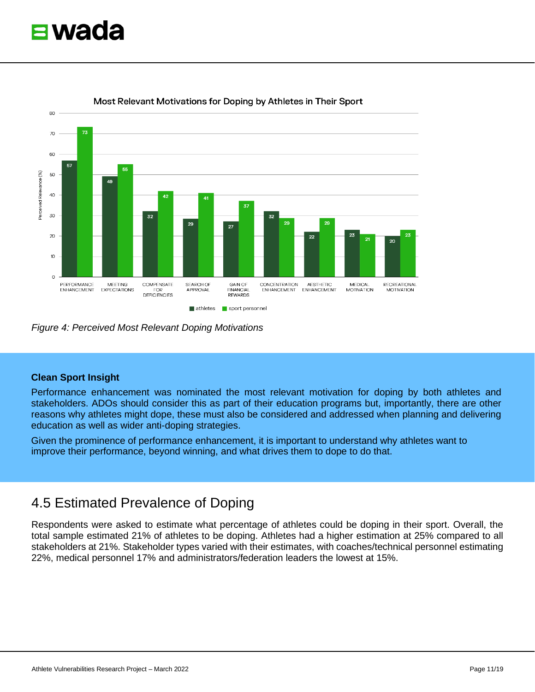



Most Relevant Motivations for Doping by Athletes in Their Sport

*Figure 4: Perceived Most Relevant Doping Motivations* 

Performance enhancement was nominated the most relevant motivation for doping by both athletes and stakeholders. ADOs should consider this as part of their education programs but, importantly, there are other reasons why athletes might dope, these must also be considered and addressed when planning and delivering education as well as wider anti-doping strategies.

Given the prominence of performance enhancement, it is important to understand why athletes want to improve their performance, beyond winning, and what drives them to dope to do that.

#### <span id="page-10-0"></span>4.5 Estimated Prevalence of Doping

Respondents were asked to estimate what percentage of athletes could be doping in their sport. Overall, the total sample estimated 21% of athletes to be doping. Athletes had a higher estimation at 25% compared to all stakeholders at 21%. Stakeholder types varied with their estimates, with coaches/technical personnel estimating 22%, medical personnel 17% and administrators/federation leaders the lowest at 15%.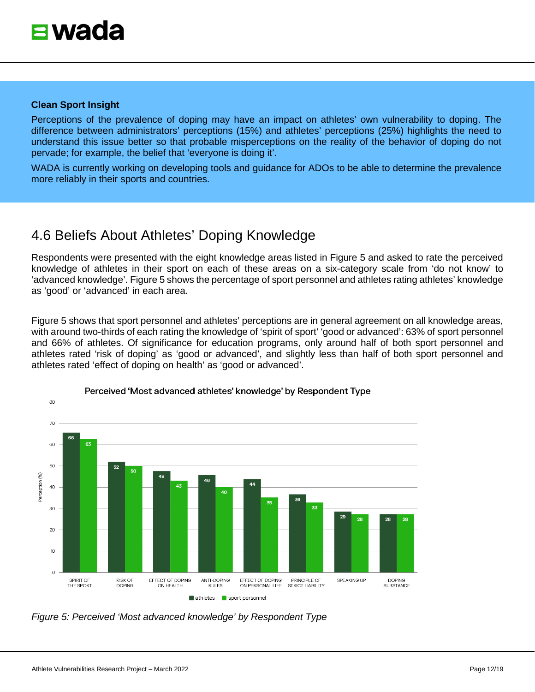Perceptions of the prevalence of doping may have an impact on athletes' own vulnerability to doping. The difference between administrators' perceptions (15%) and athletes' perceptions (25%) highlights the need to understand this issue better so that probable misperceptions on the reality of the behavior of doping do not pervade; for example, the belief that 'everyone is doing it'.

WADA is currently working on developing tools and guidance for ADOs to be able to determine the prevalence more reliably in their sports and countries.

## <span id="page-11-0"></span>4.6 Beliefs About Athletes' Doping Knowledge

Respondents were presented with the eight knowledge areas listed in Figure 5 and asked to rate the perceived knowledge of athletes in their sport on each of these areas on a six-category scale from 'do not know' to 'advanced knowledge'. Figure 5 shows the percentage of sport personnel and athletes rating athletes' knowledge as 'good' or 'advanced' in each area.

Figure 5 shows that sport personnel and athletes' perceptions are in general agreement on all knowledge areas, with around two-thirds of each rating the knowledge of 'spirit of sport' 'good or advanced': 63% of sport personnel and 66% of athletes. Of significance for education programs, only around half of both sport personnel and athletes rated 'risk of doping' as 'good or advanced', and slightly less than half of both sport personnel and athletes rated 'effect of doping on health' as 'good or advanced'.



#### Perceived 'Most advanced athletes' knowledge' by Respondent Type

*Figure 5: Perceived 'Most advanced knowledge' by Respondent Type*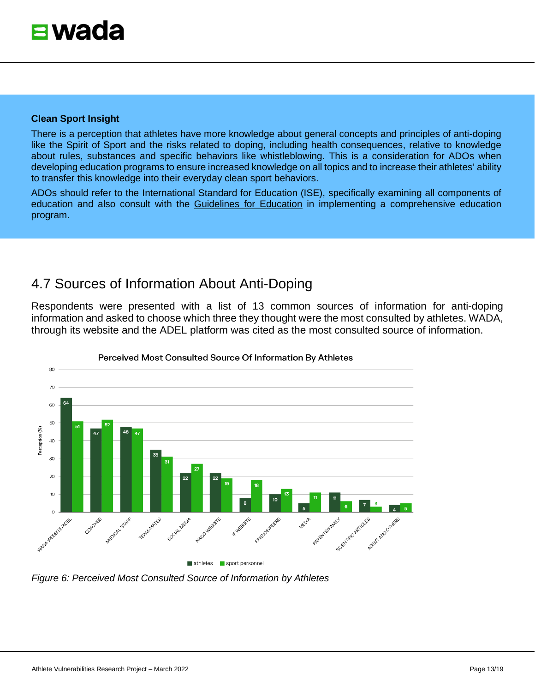<span id="page-12-0"></span>There is a perception that athletes have more knowledge about general concepts and principles of anti-doping like the Spirit of Sport and the risks related to doping, including health consequences, relative to knowledge about rules, substances and specific behaviors like whistleblowing. This is a consideration for ADOs when developing education programs to ensure increased knowledge on all topics and to increase their athletes' ability to transfer this knowledge into their everyday clean sport behaviors.

ADOs should refer to the International Standard for Education (ISE), specifically examining all components of education and also consult with the [Guidelines for Education](https://www.wada-ama.org/en/resources/education-and-prevention/guidelines-for-the-2021-international-standard-for-education-ise) in implementing a comprehensive education program.

## <span id="page-12-1"></span>4.7 Sources of Information About Anti-Doping

Respondents were presented with a list of 13 common sources of information for anti-doping information and asked to choose which three they thought were the most consulted by athletes. WADA, through its website and the ADEL platform was cited as the most consulted source of information.



Perceived Most Consulted Source Of Information By Athletes

*Figure 6: Perceived Most Consulted Source of Information by Athletes*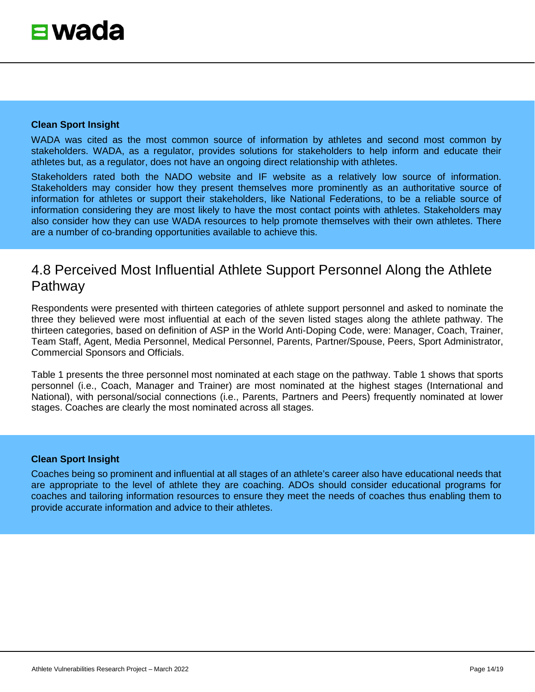WADA was cited as the most common source of information by athletes and second most common by stakeholders. WADA, as a regulator, provides solutions for stakeholders to help inform and educate their athletes but, as a regulator, does not have an ongoing direct relationship with athletes.

Stakeholders rated both the NADO website and IF website as a relatively low source of information. Stakeholders may consider how they present themselves more prominently as an authoritative source of information for athletes or support their stakeholders, like National Federations, to be a reliable source of information considering they are most likely to have the most contact points with athletes. Stakeholders may also consider how they can use WADA resources to help promote themselves with their own athletes. There are a number of co-branding opportunities available to achieve this.

## <span id="page-13-0"></span>4.8 Perceived Most Influential Athlete Support Personnel Along the Athlete Pathway

Respondents were presented with thirteen categories of athlete support personnel and asked to nominate the three they believed were most influential at each of the seven listed stages along the athlete pathway. The thirteen categories, based on definition of ASP in the World Anti-Doping Code, were: Manager, Coach, Trainer, Team Staff, Agent, Media Personnel, Medical Personnel, Parents, Partner/Spouse, Peers, Sport Administrator, Commercial Sponsors and Officials.

Table 1 presents the three personnel most nominated at each stage on the pathway. Table 1 shows that sports personnel (i.e., Coach, Manager and Trainer) are most nominated at the highest stages (International and National), with personal/social connections (i.e., Parents, Partners and Peers) frequently nominated at lower stages. Coaches are clearly the most nominated across all stages.

#### **Clean Sport Insight**

Coaches being so prominent and influential at all stages of an athlete's career also have educational needs that are appropriate to the level of athlete they are coaching. ADOs should consider educational programs for coaches and tailoring information resources to ensure they meet the needs of coaches thus enabling them to provide accurate information and advice to their athletes.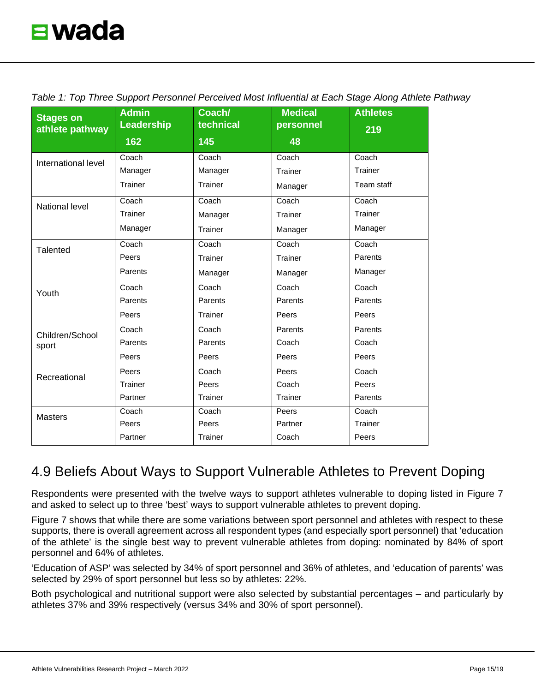| <b>Stages on</b>         | <b>Admin</b><br><b>Leadership</b> | Coach/<br>technical | <b>Medical</b><br>personnel | <b>Athletes</b> |
|--------------------------|-----------------------------------|---------------------|-----------------------------|-----------------|
| athlete pathway          | 162                               | 145                 | 48                          | 219             |
|                          |                                   |                     |                             |                 |
| International level      | Coach                             | Coach               | Coach                       | Coach           |
|                          | Manager                           | Manager             | Trainer                     | Trainer         |
|                          | Trainer                           | Trainer             | Manager                     | Team staff      |
| <b>National level</b>    | Coach                             | Coach               | Coach                       | Coach           |
|                          | Trainer                           | Manager             | Trainer                     | Trainer         |
|                          | Manager                           | Trainer             | Manager                     | Manager         |
| Talented                 | Coach                             | Coach               | Coach                       | Coach           |
|                          | Peers                             | Trainer             | Trainer                     | Parents         |
|                          | Parents                           | Manager             | Manager                     | Manager         |
| Youth                    | $\overline{\mathrm{Coach}}$       | Coach               | Coach                       | Coach           |
|                          | Parents                           | Parents             | Parents                     | Parents         |
|                          | Peers                             | Trainer             | Peers                       | Peers           |
| Children/School<br>sport | Coach                             | Coach               | Parents                     | Parents         |
|                          | Parents                           | Parents             | Coach                       | Coach           |
|                          | Peers                             | Peers               | Peers                       | Peers           |
| Recreational             | Peers                             | Coach               | Peers                       | Coach           |
|                          | Trainer                           | Peers               | Coach                       | Peers           |
|                          | Partner                           | Trainer             | Trainer                     | Parents         |
| <b>Masters</b>           | Coach                             | Coach               | Peers                       | Coach           |
|                          | Peers                             | Peers               | Partner                     | Trainer         |
|                          | Partner                           | Trainer             | Coach                       | Peers           |

*Table 1: Top Three Support Personnel Perceived Most Influential at Each Stage Along Athlete Pathway*

## <span id="page-14-0"></span>4.9 Beliefs About Ways to Support Vulnerable Athletes to Prevent Doping

Respondents were presented with the twelve ways to support athletes vulnerable to doping listed in Figure 7 and asked to select up to three 'best' ways to support vulnerable athletes to prevent doping.

Figure 7 shows that while there are some variations between sport personnel and athletes with respect to these supports, there is overall agreement across all respondent types (and especially sport personnel) that 'education of the athlete' is the single best way to prevent vulnerable athletes from doping: nominated by 84% of sport personnel and 64% of athletes.

'Education of ASP' was selected by 34% of sport personnel and 36% of athletes, and 'education of parents' was selected by 29% of sport personnel but less so by athletes: 22%.

Both psychological and nutritional support were also selected by substantial percentages – and particularly by athletes 37% and 39% respectively (versus 34% and 30% of sport personnel).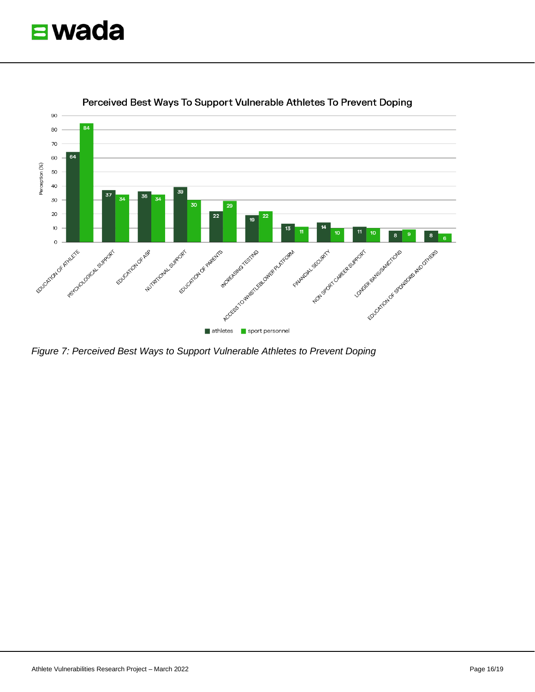



Perceived Best Ways To Support Vulnerable Athletes To Prevent Doping

*Figure 7: Perceived Best Ways to Support Vulnerable Athletes to Prevent Doping*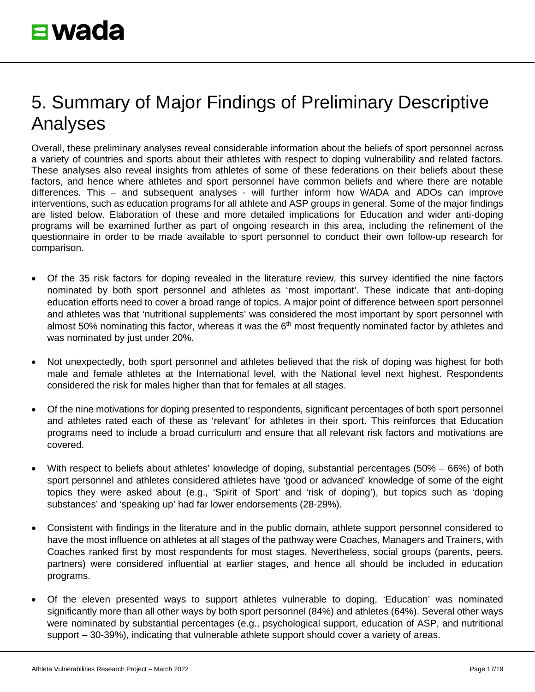# <span id="page-16-0"></span>5. Summary of Major Findings of Preliminary Descriptive Analyses

Overall, these preliminary analyses reveal considerable information about the beliefs of sport personnel across a variety of countries and sports about their athletes with respect to doping vulnerability and related factors. These analyses also reveal insights from athletes of some of these federations on their beliefs about these factors, and hence where athletes and sport personnel have common beliefs and where there are notable differences. This – and subsequent analyses - will further inform how WADA and ADOs can improve interventions, such as education programs for all athlete and ASP groups in general. Some of the major findings are listed below. Elaboration of these and more detailed implications for Education and wider anti-doping programs will be examined further as part of ongoing research in this area, including the refinement of the questionnaire in order to be made available to sport personnel to conduct their own follow-up research for comparison.

- Of the 35 risk factors for doping revealed in the literature review, this survey identified the nine factors nominated by both sport personnel and athletes as 'most important'. These indicate that anti-doping education efforts need to cover a broad range of topics. A major point of difference between sport personnel and athletes was that 'nutritional supplements' was considered the most important by sport personnel with almost 50% nominating this factor, whereas it was the  $6<sup>th</sup>$  most frequently nominated factor by athletes and was nominated by just under 20%.
- Not unexpectedly, both sport personnel and athletes believed that the risk of doping was highest for both male and female athletes at the International level, with the National level next highest. Respondents considered the risk for males higher than that for females at all stages.
- Of the nine motivations for doping presented to respondents, significant percentages of both sport personnel and athletes rated each of these as 'relevant' for athletes in their sport. This reinforces that Education programs need to include a broad curriculum and ensure that all relevant risk factors and motivations are covered.
- With respect to beliefs about athletes' knowledge of doping, substantial percentages (50% 66%) of both sport personnel and athletes considered athletes have 'good or advanced' knowledge of some of the eight topics they were asked about (e.g., 'Spirit of Sport' and 'risk of doping'), but topics such as 'doping substances' and 'speaking up' had far lower endorsements (28-29%).
- Consistent with findings in the literature and in the public domain, athlete support personnel considered to have the most influence on athletes at all stages of the pathway were Coaches, Managers and Trainers, with Coaches ranked first by most respondents for most stages. Nevertheless, social groups (parents, peers, partners) were considered influential at earlier stages, and hence all should be included in education programs.
- Of the eleven presented ways to support athletes vulnerable to doping, 'Education' was nominated significantly more than all other ways by both sport personnel (84%) and athletes (64%). Several other ways were nominated by substantial percentages (e.g., psychological support, education of ASP, and nutritional support – 30-39%), indicating that vulnerable athlete support should cover a variety of areas.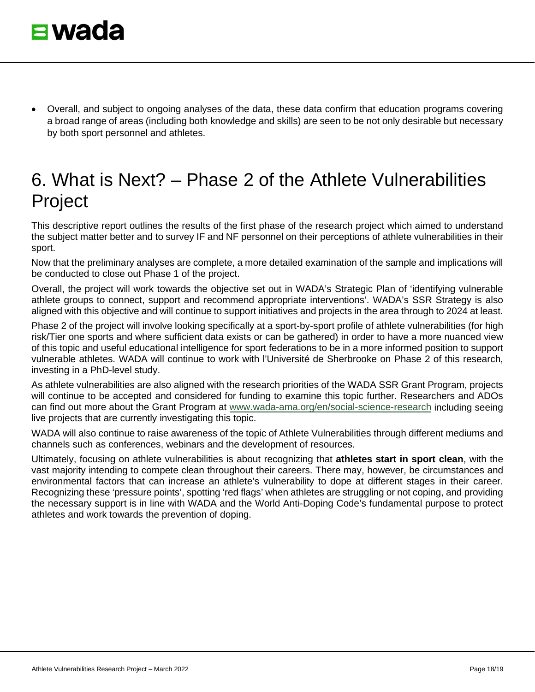<span id="page-17-0"></span>• Overall, and subject to ongoing analyses of the data, these data confirm that education programs covering a broad range of areas (including both knowledge and skills) are seen to be not only desirable but necessary by both sport personnel and athletes.

# 6. What is Next? – Phase 2 of the Athlete Vulnerabilities Project

This descriptive report outlines the results of the first phase of the research project which aimed to understand the subject matter better and to survey IF and NF personnel on their perceptions of athlete vulnerabilities in their sport.

Now that the preliminary analyses are complete, a more detailed examination of the sample and implications will be conducted to close out Phase 1 of the project.

Overall, the project will work towards the objective set out in WADA's Strategic Plan of 'identifying vulnerable athlete groups to connect, support and recommend appropriate interventions'. WADA's SSR Strategy is also aligned with this objective and will continue to support initiatives and projects in the area through to 2024 at least.

Phase 2 of the project will involve looking specifically at a sport-by-sport profile of athlete vulnerabilities (for high risk/Tier one sports and where sufficient data exists or can be gathered) in order to have a more nuanced view of this topic and useful educational intelligence for sport federations to be in a more informed position to support vulnerable athletes. WADA will continue to work with l'Université de Sherbrooke on Phase 2 of this research, investing in a PhD-level study.

As athlete vulnerabilities are also aligned with the research priorities of the WADA SSR Grant Program, projects will continue to be accepted and considered for funding to examine this topic further. Researchers and ADOs can find out more about the Grant Program at [www.wada-ama.org/en/social-science-research](http://www.wada-ama.org/en/social-science-research) including seeing live projects that are currently investigating this topic.

WADA will also continue to raise awareness of the topic of Athlete Vulnerabilities through different mediums and channels such as conferences, webinars and the development of resources.

Ultimately, focusing on athlete vulnerabilities is about recognizing that **athletes start in sport clean**, with the vast majority intending to compete clean throughout their careers. There may, however, be circumstances and environmental factors that can increase an athlete's vulnerability to dope at different stages in their career. Recognizing these 'pressure points', spotting 'red flags' when athletes are struggling or not coping, and providing the necessary support is in line with WADA and the World Anti-Doping Code's fundamental purpose to protect athletes and work towards the prevention of doping.